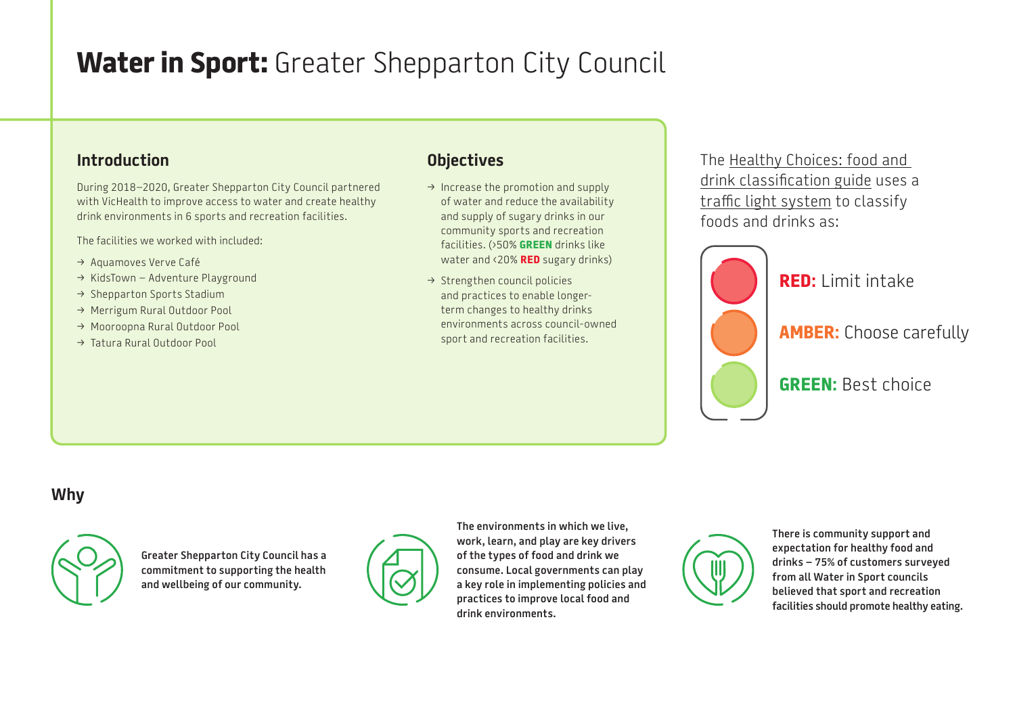# **Water in Sport:** Greater Shepparton City Council

## **Introduction**

During 2018–2020, Greater Shepparton City Council partnered with VicHealth to improve access to water and create healthy drink environments in 6 sports and recreation facilities.

The facilities we worked with included:

- → Aquamoves Verve Café
- $\rightarrow$  KidsTown Adventure Playground
- → Shepparton Sports Stadium
- → Merrigum Rural Outdoor Pool
- → Mooroopna Rural Outdoor Pool
- → Tatura Rural Outdoor Pool

## **Objectives**

- $\rightarrow$  Increase the promotion and supply of water and reduce the availability and supply of sugary drinks in our community sports and recreation facilities. (›50% **GREEN** drinks like water and ‹20% **RED** sugary drinks)
- $\rightarrow$  Strengthen council policies and practices to enable longerterm changes to healthy drinks environments across council-owned sport and recreation facilities.

The [Healthy Choices: food and](https://www2.health.vic.gov.au/public-health/preventive-health/nutrition/healthy-choices-for-retail-outlets-vending-machines-catering)  [drink classification guide](https://www2.health.vic.gov.au/public-health/preventive-health/nutrition/healthy-choices-for-retail-outlets-vending-machines-catering) uses a [traffic light system](https://heas.health.vic.gov.au/healthy-choices/guidelines/traffic-light-system) to classify foods and drinks as:



**RED:** Limit intake

**AMBER:** Choose carefully

**GREEN:** Best choice

#### **Why**



**Greater Shepparton City Council has a commitment to supporting the health and wellbeing of our community.** 



**The environments in which we live, work, learn, and play are key drivers of the types of food and drink we consume. Local governments can play a key role in implementing policies and practices to improve local food and drink environments.**



**There is community support and expectation for healthy food and drinks – 75% of customers surveyed from all Water in Sport councils believed that sport and recreation facilities should promote healthy eating.**